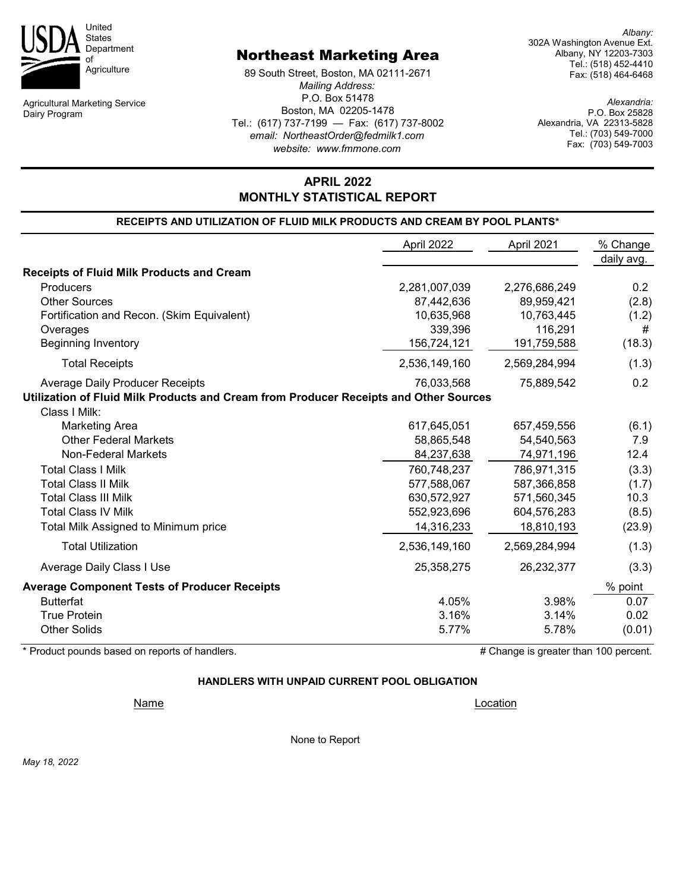

Agricultural Marketing Service Dairy Program

## Northeast Marketing Area

89 South Street, Boston, MA 02111-2671 *Mailing Address:* P.O. Box 51478 Boston, MA 02205-1478 Tel.: (617) 737-7199 — Fax: (617) 737-8002 *email: NortheastOrder@fedmilk1.com website: www.fmmone.com*

*Albany:* 302A Washington Avenue Ext. Albany, NY 12203-7303 Tel.: (518) 452-4410 Fax: (518) 464-6468

*Alexandria:* P.O. Box 25828 Alexandria, VA 22313-5828 Tel.: (703) 549-7000 Fax: (703) 549-7003

# **RECEIPTS AND UTILIZATION OF FLUID MILK PRODUCTS AND CREAM BY POOL PLANTS\* MONTHLY STATISTICAL REPORT**

**APRIL 2022**

|                                                                                       | April 2022    | April 2021    | % Change<br>daily avg. |
|---------------------------------------------------------------------------------------|---------------|---------------|------------------------|
| <b>Receipts of Fluid Milk Products and Cream</b>                                      |               |               |                        |
| Producers                                                                             | 2,281,007,039 | 2,276,686,249 | 0.2                    |
| <b>Other Sources</b>                                                                  | 87,442,636    | 89,959,421    | (2.8)                  |
| Fortification and Recon. (Skim Equivalent)                                            | 10,635,968    | 10,763,445    | (1.2)                  |
| Overages                                                                              | 339,396       | 116,291       | #                      |
| <b>Beginning Inventory</b>                                                            | 156,724,121   | 191,759,588   | (18.3)                 |
| <b>Total Receipts</b>                                                                 | 2,536,149,160 | 2,569,284,994 | (1.3)                  |
| <b>Average Daily Producer Receipts</b>                                                | 76,033,568    | 75,889,542    | 0.2                    |
| Utilization of Fluid Milk Products and Cream from Producer Receipts and Other Sources |               |               |                        |
| Class I Milk:                                                                         |               |               |                        |
| <b>Marketing Area</b>                                                                 | 617,645,051   | 657,459,556   | (6.1)                  |
| <b>Other Federal Markets</b>                                                          | 58,865,548    | 54,540,563    | 7.9                    |
| <b>Non-Federal Markets</b>                                                            | 84,237,638    | 74,971,196    | 12.4                   |
| <b>Total Class I Milk</b>                                                             | 760,748,237   | 786,971,315   | (3.3)                  |
| <b>Total Class II Milk</b>                                                            | 577,588,067   | 587,366,858   | (1.7)                  |
| <b>Total Class III Milk</b>                                                           | 630,572,927   | 571,560,345   | 10.3                   |
| <b>Total Class IV Milk</b>                                                            | 552,923,696   | 604,576,283   | (8.5)                  |
| Total Milk Assigned to Minimum price                                                  | 14,316,233    | 18,810,193    | (23.9)                 |
| <b>Total Utilization</b>                                                              | 2,536,149,160 | 2,569,284,994 | (1.3)                  |
| Average Daily Class I Use                                                             | 25,358,275    | 26,232,377    | (3.3)                  |
| <b>Average Component Tests of Producer Receipts</b>                                   |               |               | % point                |
| <b>Butterfat</b>                                                                      | 4.05%         | 3.98%         | 0.07                   |
| <b>True Protein</b>                                                                   | 3.16%         | 3.14%         | 0.02                   |
| <b>Other Solids</b>                                                                   | 5.77%         | 5.78%         | (0.01)                 |

\* Product pounds based on reports of handlers.  $\blacksquare$  # Change is greater than 100 percent.

## **HANDLERS WITH UNPAID CURRENT POOL OBLIGATION**

Name Location **Name** 

None to Report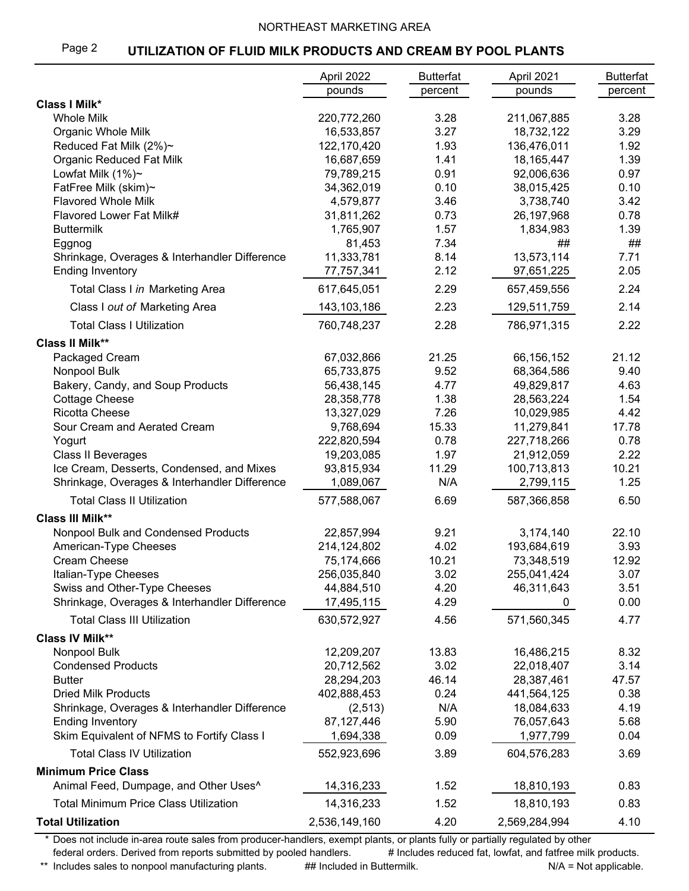## NORTHEAST MARKETING AREA

#### Page 2 **UTILIZATION OF FLUID MILK PRODUCTS AND CREAM BY POOL PLANTS**

|                                                   | April 2022    | <b>Butterfat</b> | April 2021    | <b>Butterfat</b> |
|---------------------------------------------------|---------------|------------------|---------------|------------------|
|                                                   | pounds        | percent          | pounds        | percent          |
| <b>Class I Milk*</b>                              |               |                  |               |                  |
| <b>Whole Milk</b>                                 | 220,772,260   | 3.28             | 211,067,885   | 3.28             |
| Organic Whole Milk                                | 16,533,857    | 3.27             | 18,732,122    | 3.29             |
| Reduced Fat Milk (2%)~                            | 122,170,420   | 1.93             | 136,476,011   | 1.92             |
| <b>Organic Reduced Fat Milk</b>                   | 16,687,659    | 1.41             | 18, 165, 447  | 1.39             |
| Lowfat Milk (1%)~                                 | 79,789,215    | 0.91             | 92,006,636    | 0.97             |
| FatFree Milk (skim)~                              | 34,362,019    | 0.10             | 38,015,425    | 0.10             |
| <b>Flavored Whole Milk</b>                        | 4,579,877     | 3.46             | 3,738,740     | 3.42             |
| Flavored Lower Fat Milk#                          | 31,811,262    | 0.73             | 26,197,968    | 0.78             |
| <b>Buttermilk</b>                                 | 1,765,907     | 1.57             | 1,834,983     | 1.39             |
| Eggnog                                            | 81,453        | 7.34             | ##            | ##               |
| Shrinkage, Overages & Interhandler Difference     | 11,333,781    | 8.14             | 13,573,114    | 7.71             |
| <b>Ending Inventory</b>                           | 77,757,341    | 2.12             | 97,651,225    | 2.05             |
| Total Class I in Marketing Area                   | 617,645,051   | 2.29             | 657,459,556   | 2.24             |
| Class I out of Marketing Area                     | 143,103,186   | 2.23             | 129,511,759   | 2.14             |
| <b>Total Class I Utilization</b>                  | 760,748,237   | 2.28             | 786,971,315   | 2.22             |
| <b>Class II Milk**</b>                            |               |                  |               |                  |
| Packaged Cream                                    | 67,032,866    | 21.25            | 66,156,152    | 21.12            |
| Nonpool Bulk                                      | 65,733,875    | 9.52             | 68,364,586    | 9.40             |
| Bakery, Candy, and Soup Products                  | 56,438,145    | 4.77             | 49,829,817    | 4.63             |
| <b>Cottage Cheese</b>                             | 28,358,778    | 1.38             | 28,563,224    | 1.54             |
| <b>Ricotta Cheese</b>                             | 13,327,029    | 7.26             | 10,029,985    | 4.42             |
| Sour Cream and Aerated Cream                      | 9,768,694     | 15.33            | 11,279,841    | 17.78            |
| Yogurt                                            | 222,820,594   | 0.78             | 227,718,266   | 0.78             |
| Class II Beverages                                | 19,203,085    | 1.97             | 21,912,059    | 2.22             |
| Ice Cream, Desserts, Condensed, and Mixes         | 93,815,934    | 11.29            | 100,713,813   | 10.21            |
| Shrinkage, Overages & Interhandler Difference     | 1,089,067     | N/A              | 2,799,115     | 1.25             |
| <b>Total Class II Utilization</b>                 | 577,588,067   | 6.69             | 587,366,858   | 6.50             |
| <b>Class III Milk**</b>                           |               |                  |               |                  |
| Nonpool Bulk and Condensed Products               | 22,857,994    | 9.21             | 3,174,140     | 22.10            |
| American-Type Cheeses                             | 214,124,802   | 4.02             | 193,684,619   | 3.93             |
| Cream Cheese                                      | 75,174,666    | 10.21            | 73,348,519    | 12.92            |
| Italian-Type Cheeses                              | 256,035,840   | 3.02             | 255,041,424   | 3.07             |
| Swiss and Other-Type Cheeses                      | 44,884,510    | 4.20             | 46,311,643    | 3.51             |
| Shrinkage, Overages & Interhandler Difference     | 17,495,115    | 4.29             | 0             | 0.00             |
| <b>Total Class III Utilization</b>                | 630,572,927   | 4.56             | 571,560,345   | 4.77             |
| <b>Class IV Milk**</b>                            |               |                  |               |                  |
| Nonpool Bulk                                      | 12,209,207    | 13.83            | 16,486,215    | 8.32             |
| <b>Condensed Products</b>                         | 20,712,562    | 3.02             | 22,018,407    | 3.14             |
| <b>Butter</b>                                     | 28,294,203    | 46.14            | 28,387,461    | 47.57            |
| <b>Dried Milk Products</b>                        | 402,888,453   | 0.24             | 441,564,125   | 0.38             |
| Shrinkage, Overages & Interhandler Difference     | (2,513)       | N/A              | 18,084,633    | 4.19             |
| <b>Ending Inventory</b>                           | 87,127,446    | 5.90             | 76,057,643    | 5.68             |
| Skim Equivalent of NFMS to Fortify Class I        | 1,694,338     | 0.09             | 1,977,799     | 0.04             |
| <b>Total Class IV Utilization</b>                 | 552,923,696   | 3.89             | 604,576,283   | 3.69             |
| <b>Minimum Price Class</b>                        |               |                  |               |                  |
| Animal Feed, Dumpage, and Other Uses <sup>^</sup> | 14,316,233    | 1.52             | 18,810,193    | 0.83             |
| <b>Total Minimum Price Class Utilization</b>      | 14,316,233    | 1.52             | 18,810,193    | 0.83             |
| <b>Total Utilization</b>                          | 2,536,149,160 | 4.20             | 2,569,284,994 | 4.10             |

\* Does not include in-area route sales from producer-handlers, exempt plants, or plants fully or partially regulated by other federal orders. Derived from reports submitted by pooled handlers. # Includes reduced fat, lowfat, and fatfree milk products.

\*\* Includes sales to nonpool manufacturing plants. ## Included in Buttermilk. N/A = Not applicable.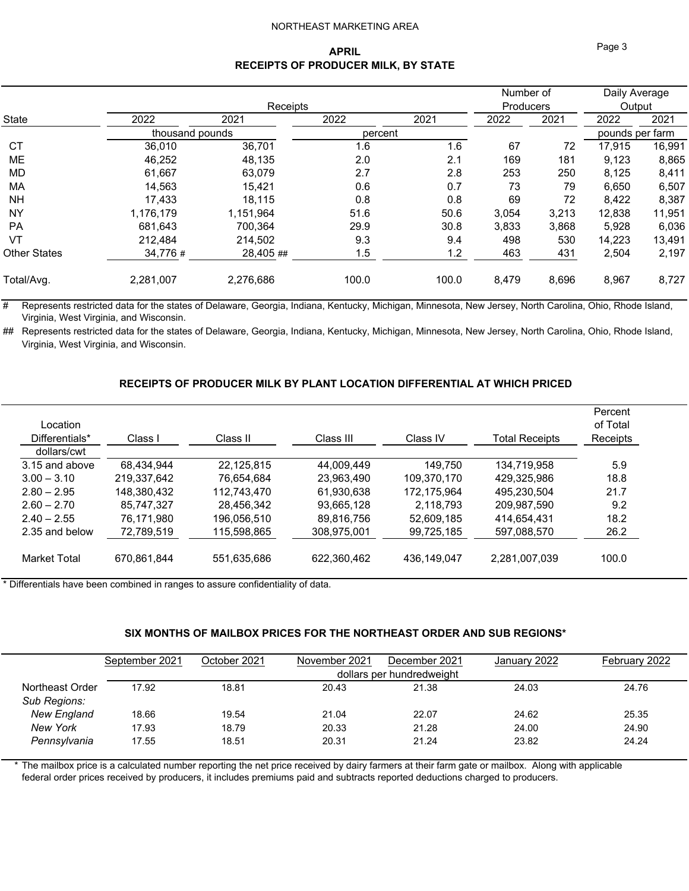### NORTHEAST MARKETING AREA

## **APRIL RECEIPTS OF PRODUCER MILK, BY STATE**

| 2022      | 2021      | 2022            | 2021     | 2022    | 2021  | 2022                          | 2021                                       |
|-----------|-----------|-----------------|----------|---------|-------|-------------------------------|--------------------------------------------|
|           |           |                 |          |         |       |                               |                                            |
| 36,010    | 36,701    | 1.6             | 1.6      | 67      | 72    | 17,915                        | 16,991                                     |
| 46,252    | 48,135    | 2.0             | 2.1      | 169     | 181   | 9,123                         | 8,865                                      |
| 61,667    | 63,079    | 2.7             | 2.8      | 253     | 250   | 8,125                         | 8,411                                      |
| 14.563    | 15.421    | 0.6             | 0.7      | 73      | 79    | 6,650                         | 6,507                                      |
| 17.433    | 18.115    | 0.8             | 0.8      | 69      | 72    | 8,422                         | 8,387                                      |
| 1,176,179 | 1.151.964 | 51.6            | 50.6     | 3,054   | 3,213 | 12,838                        | 11,951                                     |
| 681.643   | 700,364   | 29.9            | 30.8     | 3,833   | 3,868 | 5,928                         | 6,036                                      |
| 212.484   | 214,502   | 9.3             | 9.4      | 498     | 530   | 14,223                        | 13,491                                     |
| 34,776 #  | 28,405 ## | 1.5             | 1.2      | 463     | 431   | 2,504                         | 2,197                                      |
| 2,281,007 | 2,276,686 | 100.0           | 100.0    | 8,479   | 8,696 | 8,967                         | 8,727                                      |
|           |           | thousand pounds | Receipts | percent |       | Number of<br><b>Producers</b> | Daily Average<br>Output<br>pounds per farm |

# Represents restricted data for the states of Delaware, Georgia, Indiana, Kentucky, Michigan, Minnesota, New Jersey, North Carolina, Ohio, Rhode Island, Virginia, West Virginia, and Wisconsin.

## Represents restricted data for the states of Delaware, Georgia, Indiana, Kentucky, Michigan, Minnesota, New Jersey, North Carolina, Ohio, Rhode Island, Virginia, West Virginia, and Wisconsin.

## **RECEIPTS OF PRODUCER MILK BY PLANT LOCATION DIFFERENTIAL AT WHICH PRICED**

| Location<br>Differentials*<br>dollars/cwt | Class I     | Class II    | Class III   | Class IV    | Total Receipts | Percent<br>of Total<br>Receipts |
|-------------------------------------------|-------------|-------------|-------------|-------------|----------------|---------------------------------|
| 3.15 and above                            | 68.434.944  | 22,125,815  | 44,009,449  | 149.750     | 134,719,958    | 5.9                             |
| $3.00 - 3.10$                             | 219.337.642 | 76.654.684  | 23.963.490  | 109.370.170 | 429.325.986    | 18.8                            |
| $2.80 - 2.95$                             | 148.380.432 | 112.743.470 | 61.930.638  | 172.175.964 | 495.230.504    | 21.7                            |
| $2.60 - 2.70$                             | 85.747.327  | 28.456.342  | 93.665.128  | 2.118.793   | 209.987.590    | 9.2                             |
| $2.40 - 2.55$                             | 76.171.980  | 196.056.510 | 89.816.756  | 52.609.185  | 414.654.431    | 18.2                            |
| 2.35 and below                            | 72,789,519  | 115,598,865 | 308,975,001 | 99,725,185  | 597,088,570    | 26.2                            |
| Market Total                              | 670.861.844 | 551,635,686 | 622.360.462 | 436.149.047 | 2.281.007.039  | 100.0                           |

\* Differentials have been combined in ranges to assure confidentiality of data.

## **SIX MONTHS OF MAILBOX PRICES FOR THE NORTHEAST ORDER AND SUB REGIONS\***

|                    | September 2021 | October 2021 | November 2021 | December 2021             | January 2022 | February 2022 |
|--------------------|----------------|--------------|---------------|---------------------------|--------------|---------------|
|                    |                |              |               | dollars per hundredweight |              |               |
| Northeast Order    | 17.92          | 18.81        | 20.43         | 21.38                     | 24.03        | 24.76         |
| Sub Regions:       |                |              |               |                           |              |               |
| <b>New England</b> | 18.66          | 19.54        | 21.04         | 22.07                     | 24.62        | 25.35         |
| <b>New York</b>    | 17.93          | 18.79        | 20.33         | 21.28                     | 24.00        | 24.90         |
| Pennsylvania       | 17.55          | 18.51        | 20.31         | 21.24                     | 23.82        | 24.24         |
|                    |                |              |               |                           |              |               |

The mailbox price is a calculated number reporting the net price received by dairy farmers at their farm gate or mailbox. Along with applicable federal order prices received by producers, it includes premiums paid and subtracts reported deductions charged to producers.